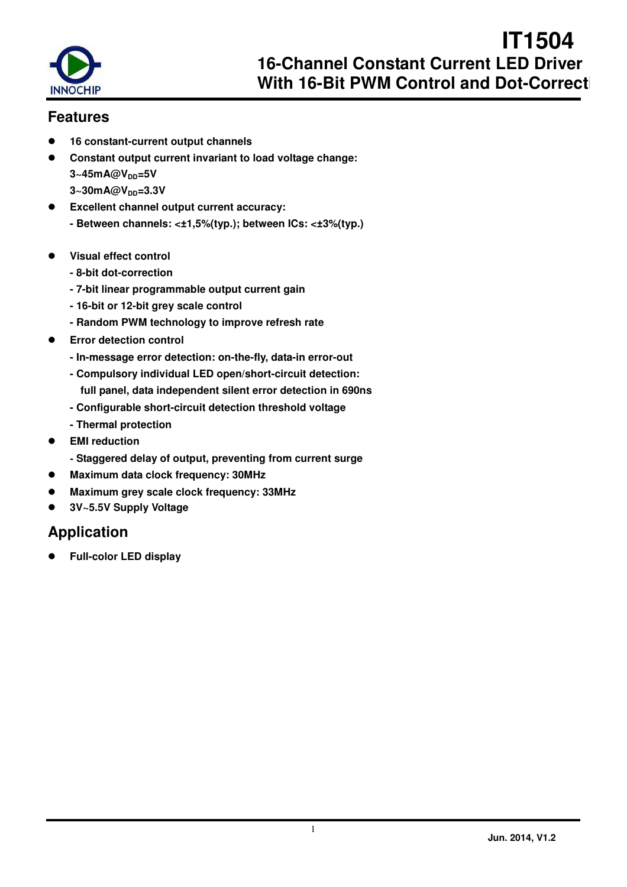

## **Features**

- **16 constant-current output channels**
- **Constant output current invariant to load voltage change: 3~45mA@VDD=5V 3~30mA@VDD=3.3V**
- **Excellent channel output current accuracy: - Between channels: <±1,5%(typ.); between ICs: <±3%(typ.)**
- **Visual effect control** 
	- **8-bit dot-correction**
	- **7-bit linear programmable output current gain**
	- **16-bit or 12-bit grey scale control**
	- **Random PWM technology to improve refresh rate**
- **Error detection control** 
	- **In-message error detection: on-the-fly, data-in error-out**
	- **Compulsory individual LED open/short-circuit detection: full panel, data independent silent error detection in 690ns**
	- **Configurable short-circuit detection threshold voltage**
	- **Thermal protection**
- **EMI reduction** 
	- **Staggered delay of output, preventing from current surge**
- **Maximum data clock frequency: 30MHz**
- **Maximum grey scale clock frequency: 33MHz**
- **3V~5.5V Supply Voltage**

## **Application**

**Full-color LED display**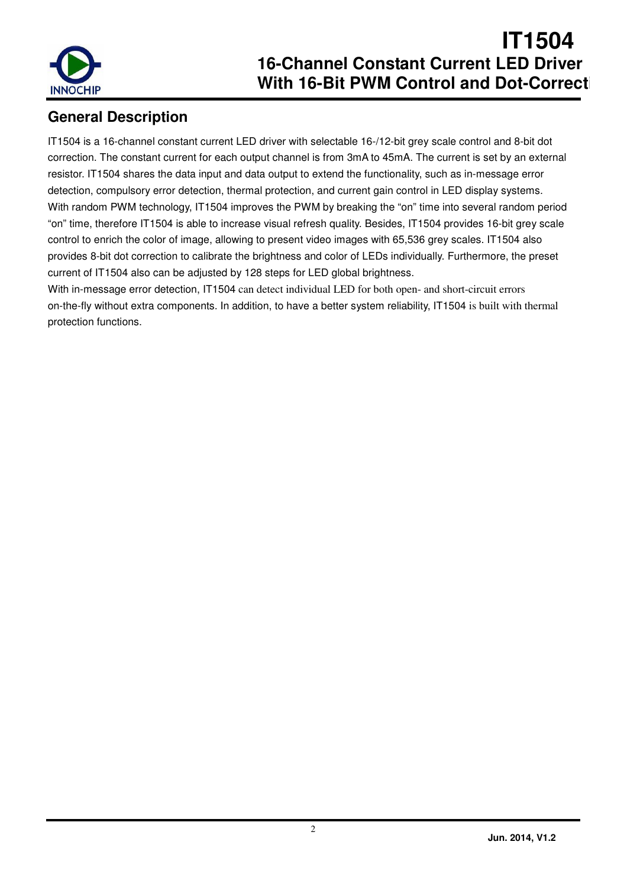

## **General Description**

IT1504 is a 16-channel constant current LED driver with selectable 16-/12-bit grey scale control and 8-bit dot correction. The constant current for each output channel is from 3mA to 45mA. The current is set by an external resistor. IT1504 shares the data input and data output to extend the functionality, such as in-message error detection, compulsory error detection, thermal protection, and current gain control in LED display systems. With random PWM technology, IT1504 improves the PWM by breaking the "on" time into several random period "on" time, therefore IT1504 is able to increase visual refresh quality. Besides, IT1504 provides 16-bit grey scale control to enrich the color of image, allowing to present video images with 65,536 grey scales. IT1504 also provides 8-bit dot correction to calibrate the brightness and color of LEDs individually. Furthermore, the preset current of IT1504 also can be adjusted by 128 steps for LED global brightness.

With in-message error detection, IT1504 can detect individual LED for both open- and short-circuit errors on-the-fly without extra components. In addition, to have a better system reliability, IT1504 is built with thermal protection functions.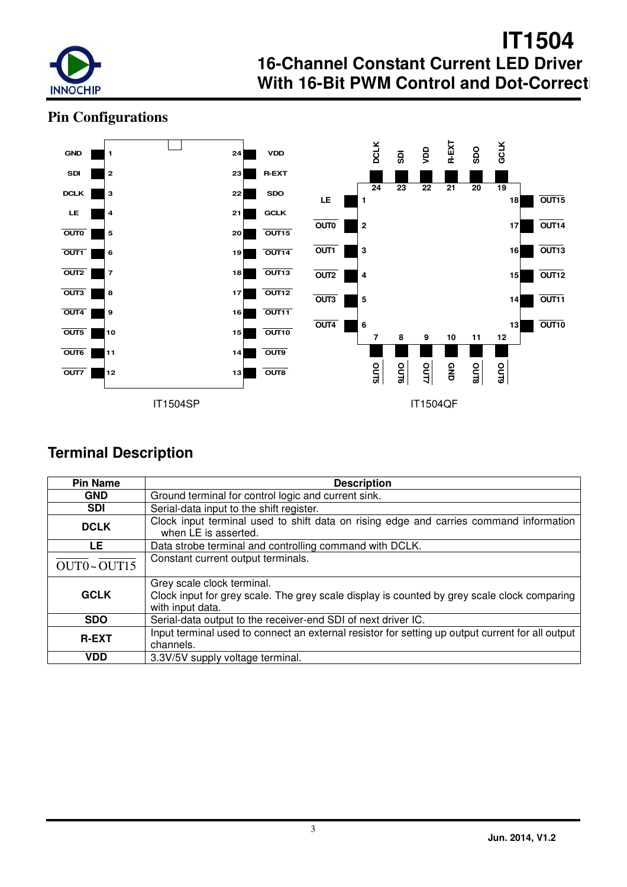

## **Pin Configurations**



## **Terminal Description**

| <b>Pin Name</b>                                                                                                               | <b>Description</b>                                                                                                                            |  |  |  |  |  |  |  |
|-------------------------------------------------------------------------------------------------------------------------------|-----------------------------------------------------------------------------------------------------------------------------------------------|--|--|--|--|--|--|--|
| <b>GND</b>                                                                                                                    | Ground terminal for control logic and current sink.                                                                                           |  |  |  |  |  |  |  |
| <b>SDI</b>                                                                                                                    | Serial-data input to the shift register.                                                                                                      |  |  |  |  |  |  |  |
| Clock input terminal used to shift data on rising edge and carries command information<br><b>DCLK</b><br>when LE is asserted. |                                                                                                                                               |  |  |  |  |  |  |  |
| LE.                                                                                                                           | Data strobe terminal and controlling command with DCLK.                                                                                       |  |  |  |  |  |  |  |
| OUT0~OUT15                                                                                                                    | Constant current output terminals.                                                                                                            |  |  |  |  |  |  |  |
| <b>GCLK</b>                                                                                                                   | Grey scale clock terminal.<br>Clock input for grey scale. The grey scale display is counted by grey scale clock comparing<br>with input data. |  |  |  |  |  |  |  |
| <b>SDO</b>                                                                                                                    | Serial-data output to the receiver-end SDI of next driver IC.                                                                                 |  |  |  |  |  |  |  |
| <b>R-EXT</b>                                                                                                                  | Input terminal used to connect an external resistor for setting up output current for all output<br>channels.                                 |  |  |  |  |  |  |  |
| <b>VDD</b>                                                                                                                    | 3.3V/5V supply voltage terminal.                                                                                                              |  |  |  |  |  |  |  |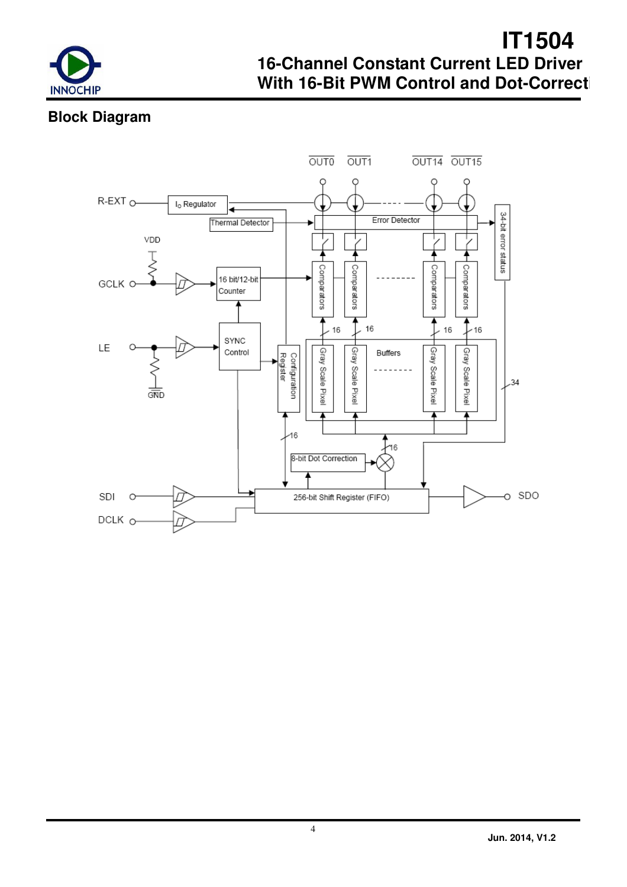

## **Block Diagram**

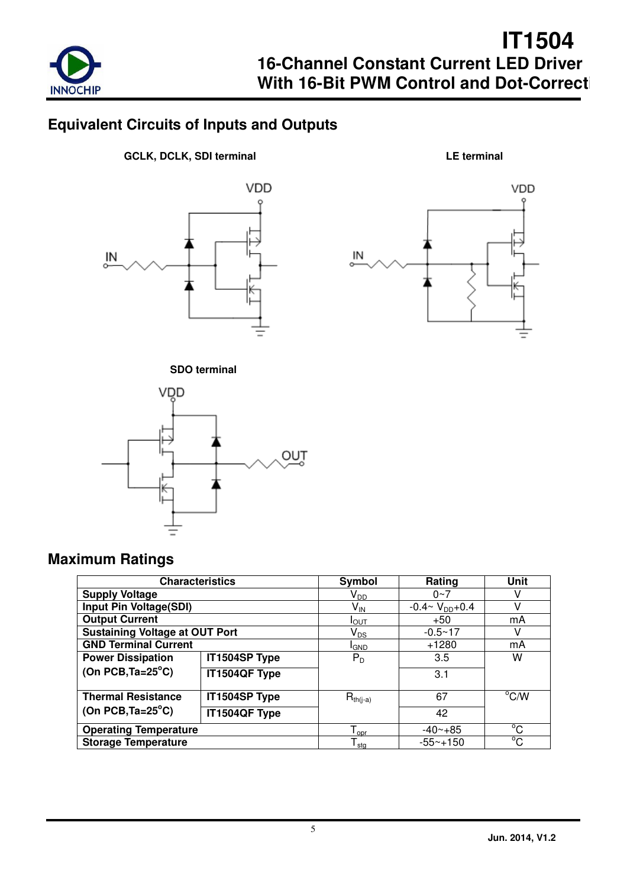

## **Equivalent Circuits of Inputs and Outputs**

**GCLK, DCLK, SDI terminal LE terminal** 









## **Maximum Ratings**

| <b>Characteristics</b>                |               | Symbol                       | Rating                   | Unit           |
|---------------------------------------|---------------|------------------------------|--------------------------|----------------|
| <b>Supply Voltage</b>                 |               | V <sub>DD</sub>              | $0 - 7$                  |                |
| Input Pin Voltage(SDI)                |               | $\mathsf{V}_{\mathsf{IN}}$   | $-0.4 \sim V_{DD} + 0.4$ | v              |
| <b>Output Current</b>                 |               | $I_{\text{OUT}}$             | $+50$                    | mA             |
| <b>Sustaining Voltage at OUT Port</b> |               | $\mathsf{V}_{\mathsf{DS}}$   | $-0.5 - 17$              | V              |
| <b>GND Terminal Current</b>           |               | <sup>I</sup> GND             | $+1280$                  | mA             |
| <b>Power Dissipation</b>              | IT1504SP Type | $P_{D}$                      | 3.5                      | w              |
| (On PCB, $Ta = 25^{\circ}C$ )         | IT1504QF Type |                              | 3.1                      |                |
| <b>Thermal Resistance</b>             | IT1504SP Type | $R_{th(i-a)}$                | 67                       | $^{\circ}$ C/W |
| (On PCB, $Ta = 25^{\circ}C$ )         | IT1504QF Type |                              | 42                       |                |
| <b>Operating Temperature</b>          |               | $\mathsf{T}_{\mathsf{opr}}$  | $-40 - +85$              | °C             |
| <b>Storage Temperature</b>            |               | ${\mathsf T}_{\textsf{stg}}$ | $-55 - +150$             | °C             |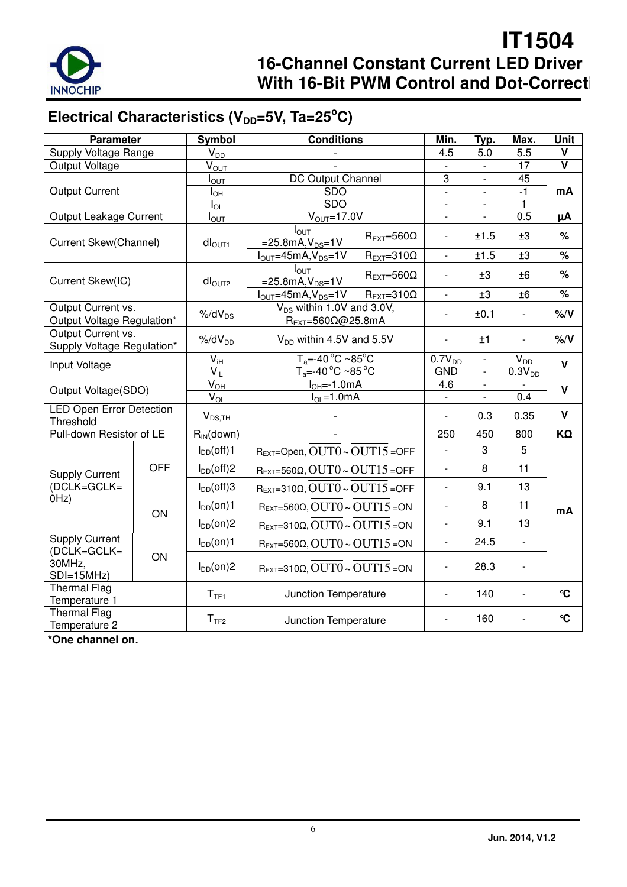

# Electrical Characteristics (V<sub>DD</sub>=5V, Ta=25<sup>°</sup>C)

| <b>Parameter</b>                                 |            | Symbol                          | <b>Conditions</b>                                                           |                               | Min.                     | Typ.                     | Max.          | <b>Unit</b>             |  |       |
|--------------------------------------------------|------------|---------------------------------|-----------------------------------------------------------------------------|-------------------------------|--------------------------|--------------------------|---------------|-------------------------|--|-------|
| Supply Voltage Range                             |            | $V_{D\underline{D}}$            |                                                                             |                               | 4.5                      | 5.0                      | 5.5           | ۷                       |  |       |
| Output Voltage                                   |            | $V_{\text{OUT}}$                |                                                                             |                               |                          | $\overline{a}$           | 17            | $\overline{\mathsf{v}}$ |  |       |
|                                                  |            | $I_{\text{OUT}}$                | DC Output Channel                                                           |                               | 3                        | $\overline{\phantom{a}}$ | 45            |                         |  |       |
| <b>Output Current</b>                            |            | $I_{OH}$                        | <b>SDO</b>                                                                  |                               | $\overline{a}$           |                          | $-1$          | mA                      |  |       |
|                                                  |            | $I_{OL}$                        | <b>SDO</b>                                                                  |                               |                          |                          | $\mathbf{1}$  |                         |  |       |
| Output Leakage Current                           |            | $I_{\text{OUT}}$                | $VOUT=17.0V$                                                                |                               |                          |                          | 0.5           | μA                      |  |       |
| Current Skew(Channel)                            |            | dI <sub>OUT1</sub>              | $I_{\text{OUT}}$<br>$=25.8mA, V_{DS}=1V$                                    | $R_{\text{EXT}}=560\Omega$    | $\overline{\phantom{a}}$ | ±1.5                     | ±3            | %                       |  |       |
|                                                  |            |                                 | $IOUT=45mA, VDS=1V$                                                         | $R_{EXT}=310\Omega$           | $\mathbf{r}$             | ±1.5                     | ±3            | $\frac{1}{6}$           |  |       |
| Current Skew(IC)                                 |            | $dl_{\text{OUT2}}$              | $I_{\text{OUT}}$<br>$=25.8mA, V_{DS}=1V$                                    | $R_{\text{EXT}}=560\Omega$    |                          | ±3                       | ±6            | $\%$                    |  |       |
|                                                  |            |                                 | $I_{OUT} = 45mA, V_{DS} = 1V$                                               | $R_{\text{EXT}} = 310\Omega$  | $\overline{\phantom{a}}$ | ±3                       | ±6            | $\%$                    |  |       |
| Output Current vs.<br>Output Voltage Regulation* |            | $%$ /d $V_{DS}$                 | V <sub>DS</sub> within 1.0V and 3.0V,<br>$R_{EXT} = 560\Omega\omega$ 25.8mA |                               |                          | ±0.1                     |               | $%$ /V                  |  |       |
| Output Current vs.<br>Supply Voltage Regulation* |            | $%$ /d $V_{DD}$                 |                                                                             | $V_{DD}$ within 4.5V and 5.5V |                          |                          |               | ±1                      |  | % / V |
|                                                  |            | $V_{iH}$                        | $T_a = -40^{\circ}C - 85^{\circ}C$                                          |                               | $\overline{0.7}V_{DD}$   | $\overline{a}$           | $V_{DD}$      | $\mathbf v$             |  |       |
| Input Voltage                                    |            | $V_{\rm ii}$                    | $T_a = -40^{\circ}$ C ~85 $^{\circ}$ C                                      |                               | <b>GND</b>               | $\frac{1}{2}$            | $0.3V_{DD}$   |                         |  |       |
| Output Voltage(SDO)                              |            | $\overline{V}_{\underline{OH}}$ | $IOH=-1.0mA$                                                                |                               | 4.6                      |                          |               | $\mathsf{V}$            |  |       |
|                                                  |            | $\overline{V}_{OL}$             | $I_{OL} = 1.0mA$                                                            |                               | $\mathbf{r}$             | $\overline{a}$           | 0.4           |                         |  |       |
| <b>LED Open Error Detection</b><br>Threshold     |            | $V_{DS,TH}$                     |                                                                             |                               | $\frac{1}{2}$            | 0.3                      | 0.35          | V                       |  |       |
| Pull-down Resistor of LE                         |            | $\overline{R_{IN}}$ (down)      |                                                                             |                               | 250                      | 450                      | 800           | $K\Omega$               |  |       |
|                                                  |            | $I_{DD}(off)1$                  | REXT=Open, OUT0~OUT15=OFF                                                   |                               | $\overline{\phantom{a}}$ | 3                        | 5             |                         |  |       |
| <b>Supply Current</b>                            | <b>OFF</b> | $I_{DD}(off)2$                  | $R_{EXT}=560\Omega$ , $OUT0 \sim OUT15 = OFF$                               |                               | $\overline{\phantom{a}}$ | 8                        | 11            |                         |  |       |
| (DCLK=GCLK=                                      |            | $I_{DD}(off)3$                  | $R_{EXT}=310\Omega$ , $OUT0 \sim OUT15 = OFF$                               |                               | $\overline{\phantom{a}}$ | 9.1                      | 13            |                         |  |       |
| OHz)                                             | ON         | $I_{DD}(on)1$                   | $R_{EXT}=560\Omega$ , OUT $0 \sim$ OUT $15$ = ON                            |                               | $\overline{a}$           | 8                        | 11            | mA                      |  |       |
|                                                  |            | $I_{DD}(on)2$                   | $R_{EXT}=310\Omega$ , OUT $0 \sim$ OUT $15 =$ ON                            |                               | $\overline{\phantom{a}}$ | 9.1                      | 13            |                         |  |       |
| <b>Supply Current</b><br>(DCLK=GCLK=             |            | $I_{DD}(on)1$                   | $R_{EXT}=560\Omega$ , OUT $0 \sim$ OUT $15$ = ON                            |                               | $\blacksquare$           | 24.5                     | $\frac{1}{2}$ |                         |  |       |
| 30MHz,<br>$SDI=15MHz$                            | ON         | $I_{DD}(on)2$                   | $R_{EXT}=310\Omega$ , OUT $0 \sim$ OUT $15 =$ ON                            |                               |                          | 28.3                     |               |                         |  |       |
| <b>Thermal Flag</b><br>Temperature 1             |            | T <sub>TF1</sub>                | Junction Temperature                                                        |                               |                          | 140                      |               | $\mathbf{C}$            |  |       |
| <b>Thermal Flag</b><br>Temperature 2             |            | $T_{\rm TF2}$                   | Junction Temperature                                                        |                               | $\overline{\phantom{a}}$ | 160                      |               | $\mathbf{C}$            |  |       |

**\*One channel on.**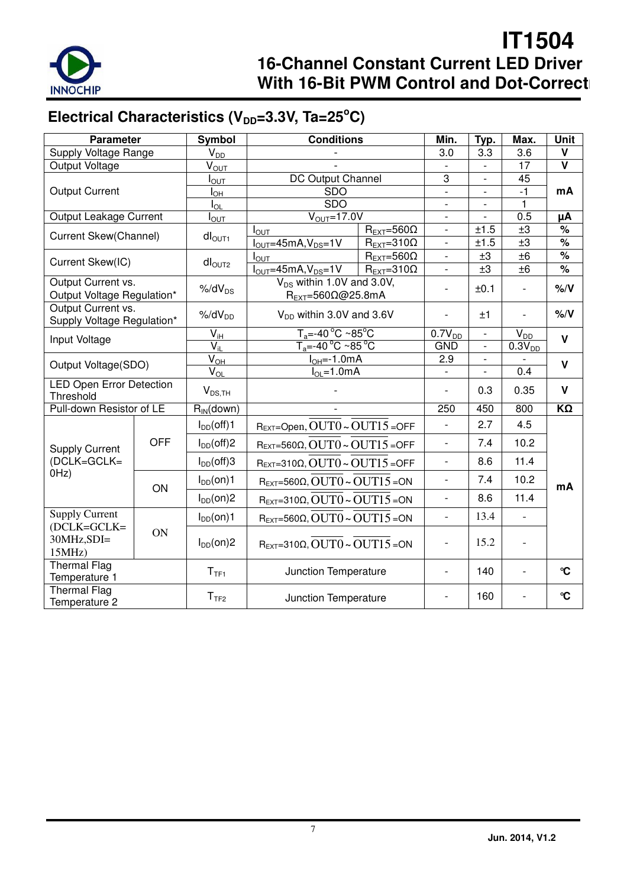

# Electrical Characteristics (V<sub>DD</sub>=3.3V, Ta=25<sup>°</sup>C)

| <b>Parameter</b>                                 |               | Symbol                     | <b>Conditions</b>                                     |                                                  | Min.                                                 | Typ.                         | Max.                     | <b>Unit</b>                                  |
|--------------------------------------------------|---------------|----------------------------|-------------------------------------------------------|--------------------------------------------------|------------------------------------------------------|------------------------------|--------------------------|----------------------------------------------|
| Supply Voltage Range                             |               | $V_{DD}$                   |                                                       |                                                  | 3.0                                                  | 3.3                          | 3.6                      | v                                            |
| Output Voltage                                   |               | $V_{OT}$                   |                                                       |                                                  |                                                      | $\overline{a}$               | 17                       | $\overline{\mathsf{v}}$                      |
|                                                  |               | $I_{\text{OUT}}$           | DC Output Channel                                     |                                                  | 3                                                    | $\qquad \qquad \blacksquare$ | 45                       |                                              |
| <b>Output Current</b>                            |               | $I_{OH}$                   | <b>SDO</b>                                            |                                                  | $\overline{\phantom{a}}$                             | $\overline{\phantom{a}}$     | $-1$                     | mA                                           |
|                                                  |               | $I_{OL}$                   | <b>SDO</b>                                            |                                                  | $\blacksquare$                                       | $\overline{\phantom{a}}$     | $\mathbf{1}$             |                                              |
| Output Leakage Current                           |               | $I_{\text{OUT}}$           | $V_{\text{OUT}} = 17.0 V$                             |                                                  | $\overline{\phantom{a}}$                             | $\overline{\phantom{a}}$     | 0.5                      | μA                                           |
| Current Skew(Channel)                            |               | $dI_{OUT1}$                | $I_{\text{OUT}}$                                      | $R_{\text{EXT}}=560\Omega$                       | $\overline{\phantom{a}}$                             | ±1.5                         | ±3                       | %                                            |
|                                                  |               |                            | $IOUT=45mA, VDS=1V$                                   | $R_{EXT}=310\Omega$                              | $\blacksquare$                                       | ±1.5                         | ±3                       | $\%$                                         |
| Current Skew(IC)                                 |               | $dl_{\text{OUT2}}$         | $I_{\text{OUT}}$                                      | $R_{\text{EXT}}=560\Omega$                       | $\overline{\phantom{a}}$<br>$\overline{\phantom{a}}$ | ±3                           | ±6                       | $\frac{1}{\sqrt{2}}$<br>$\frac{1}{\sqrt{2}}$ |
| Output Current vs.                               |               |                            | $IOUT=45mA, VDS=1V$<br>$V_{DS}$ within 1.0V and 3.0V, | $R_{EXT}=310\Omega$                              |                                                      | ±3                           | ±6                       |                                              |
| Output Voltage Regulation*                       |               | $%$ /d $V_{DS}$            | $R_{EXT} = 560\Omega\omega$ 25.8mA                    |                                                  | $\overline{\phantom{0}}$                             | ±0.1                         | $\overline{\phantom{0}}$ | % / V                                        |
| Output Current vs.<br>Supply Voltage Regulation* |               | $%$ /d $V_{DD}$            | $V_{DD}$ within 3.0V and 3.6V                         |                                                  |                                                      | ±1                           |                          | %/V                                          |
| Input Voltage                                    |               | $V_{iH}$                   | $T_a = -40\degree C - 85\degree C$                    |                                                  | $0.7V_{DD}$                                          | $\overline{\phantom{a}}$     | $V_{DD}$                 | $\mathbf v$                                  |
|                                                  |               | $\overline{V_{iL}}$        | $T_a = -40^{\circ}C - 85^{\circ}C$                    |                                                  | <b>GND</b>                                           | L.                           | $0.3V_{DD}$              |                                              |
| Output Voltage(SDO)                              |               | $\bar{V}_{\underline{OH}}$ | $IOH=-1.0mA$                                          |                                                  | 2.9                                                  | ÷.                           |                          | $\mathbf v$                                  |
|                                                  |               | $V_{OL}$                   | $I_{OL} = 1.0ma$                                      |                                                  | $\overline{\phantom{a}}$                             | $\overline{\phantom{a}}$     | 0.4                      |                                              |
| <b>LED Open Error Detection</b><br>Threshold     |               | $V_{DS,TH}$                |                                                       |                                                  | $\overline{\phantom{a}}$                             | 0.3                          | 0.35                     | $\mathbf v$                                  |
| Pull-down Resistor of LE                         |               | $R_{IN}$ (down)            |                                                       |                                                  | 250                                                  | 450                          | 800                      | $K\Omega$                                    |
|                                                  |               | $I_{DD}(off)1$             | $R_{EXT}$ =Open, $OUT0 \sim OUT15$ =OFF               |                                                  | $\blacksquare$                                       | 2.7                          | 4.5                      |                                              |
| <b>Supply Current</b>                            | <b>OFF</b>    | $I_{DD}(off)2$             | $R_{EXT} = 560\Omega$ , OUT $0 \sim$ OUT $15 =$ OFF   |                                                  | $\blacksquare$                                       | 7.4                          | 10.2                     |                                              |
| (DCLK=GCLK=                                      |               | $I_{DD}(off)$ 3            | $R_{EXT}=310\Omega$ , $OUT0 \sim OUT15 = OFF$         |                                                  | $\blacksquare$                                       | 8.6                          | 11.4                     |                                              |
| OHz)                                             | ON            | $I_{DD}(on)1$              | $R_{EXT}=560\Omega$ , OUT $0 \sim$ OUT $15 =$ ON      |                                                  | $\overline{\phantom{a}}$                             | 7.4                          | 10.2                     | mA                                           |
|                                                  |               | $I_{DD}(on)2$              |                                                       | $R_{EXT}=310\Omega$ , OUT $0 \sim$ OUT $15 =$ ON |                                                      | 8.6                          | 11.4                     |                                              |
| <b>Supply Current</b><br>(DCLK=GCLK=             | $I_{DD}(on)1$ |                            | $R_{EXT} = 560\Omega$ , OUT $0 \sim$ OUT $15 =$ ON    |                                                  | $\overline{\phantom{0}}$                             | 13.4                         | $\overline{a}$           |                                              |
| 30MHz,SDI=<br>15MHz                              | ON            | $I_{DD}(on)2$              | $R_{EXT}=310\Omega$ , OUT $0 \sim$ OUT $15$ = ON      |                                                  | $\overline{\phantom{a}}$                             | 15.2                         | $\overline{\phantom{a}}$ |                                              |
| <b>Thermal Flag</b><br>Temperature 1             |               | T <sub>TF1</sub>           | Junction Temperature                                  |                                                  | $\overline{\phantom{a}}$                             | 140                          |                          | $\mathbf{C}$                                 |
| <b>Thermal Flag</b><br>Temperature 2             |               | T <sub>TF2</sub>           | Junction Temperature                                  |                                                  | $\overline{\phantom{a}}$                             | 160                          |                          | $\mathbf{C}$                                 |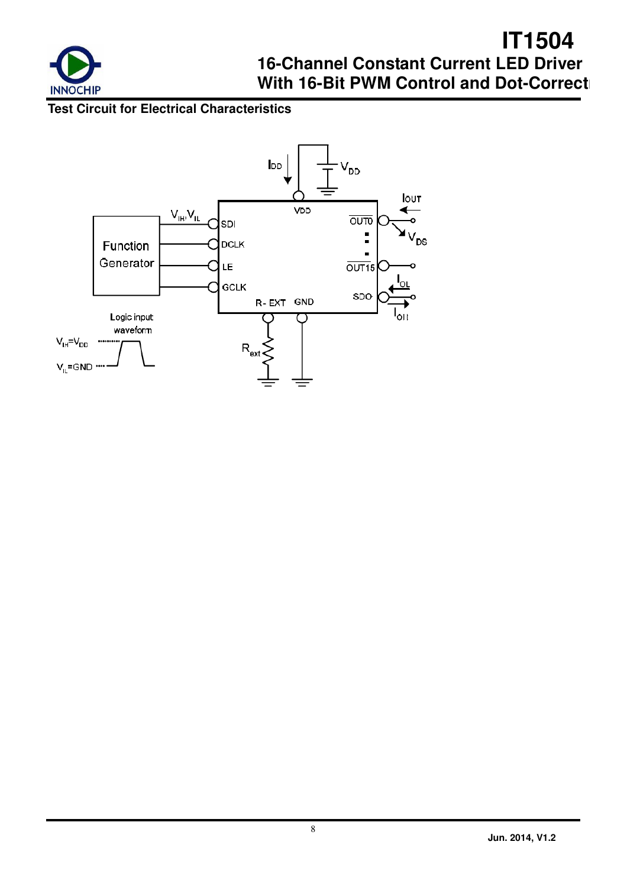

### **Test Circuit for Electrical Characteristics**

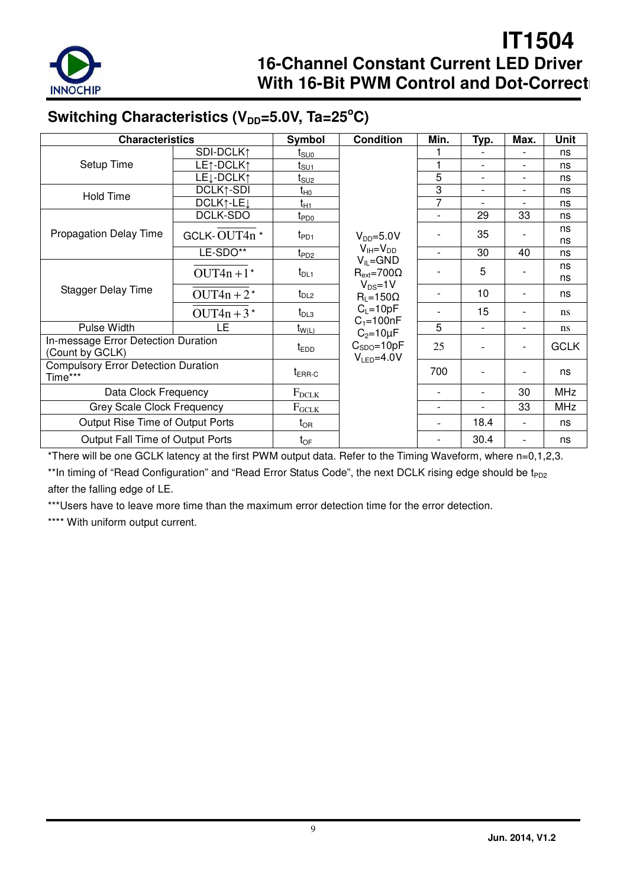

## Switching Characteristics (V<sub>DD</sub>=5.0V, Ta=25°C)

| <b>Characteristics</b>                                 |                                    | Symbol           | <b>Condition</b>                      | Min.                     | Typ.                     | Max.                     | Unit          |
|--------------------------------------------------------|------------------------------------|------------------|---------------------------------------|--------------------------|--------------------------|--------------------------|---------------|
|                                                        | SDI-DCLK1                          | t <sub>suo</sub> |                                       |                          |                          |                          | ns            |
| Setup Time                                             | LE1-DCLK1                          | t <sub>su1</sub> |                                       |                          | $\blacksquare$           | $\overline{a}$           | ns            |
|                                                        | LE <sub>1</sub> -DCLK <sub>1</sub> | t <sub>SU2</sub> |                                       | 5                        | $\overline{\phantom{a}}$ | $\overline{\phantom{a}}$ | ns            |
| <b>Hold Time</b>                                       | DCLK1-SDI                          | $t_{H0}$         |                                       | 3                        | $\overline{a}$           |                          | ns            |
|                                                        | DCLK1-LE <sub>J</sub>              | tнı              |                                       | $\overline{7}$           |                          |                          | ns            |
|                                                        | DCLK-SDO                           | t <sub>PD0</sub> |                                       | $\overline{a}$           | 29                       | 33                       | ns            |
| <b>Propagation Delay Time</b>                          | GCLK-OUT4n*                        | $t_{PD1}$        | $V_{DD} = 5.0 V$                      |                          | 35                       |                          | ns<br>ns      |
|                                                        | LE-SDO**                           | t <sub>PD2</sub> | $V_{IH} = V_{DD}$<br>$V_{IL} = GND$   | $\overline{a}$           | 30                       | 40                       | ns            |
|                                                        | OUT4n+ $1*$                        | $t_{DL1}$        | $R_{ext} = 700\Omega$                 |                          | 5                        |                          | ns<br>ns      |
| Stagger Delay Time                                     | $OUT4n + 2*$                       | $t_{DL2}$        | $V_{DS}=1V$<br>$R_L = 150\Omega$      |                          | 10                       |                          | ns            |
|                                                        | OUT4n + $3*$                       | $t_{DL3}$        | $C_L = 10pF$<br>$C_1 = 100nF$         |                          | 15                       | $\overline{\phantom{0}}$ | ns            |
| Pulse Width                                            | LE                                 | $t_{W(L)}$       | $C_2 = 10 \mu F$                      | 5                        | $\overline{\phantom{a}}$ | $\overline{\phantom{a}}$ | <sub>ns</sub> |
| In-message Error Detection Duration<br>(Count by GCLK) |                                    | $t_{EDD}$        | $C_{SDO} = 10pF$<br>$V_{LED} = 4.0 V$ | 25                       |                          | $\overline{a}$           | <b>GCLK</b>   |
| <b>Compulsory Error Detection Duration</b><br>Time***  | $t_{\text{ERR-C}}$                 |                  | 700                                   | $\overline{\phantom{a}}$ |                          | ns                       |               |
| Data Clock Frequency                                   | $F_{DCLK}$                         |                  |                                       |                          | 30                       | <b>MHz</b>               |               |
| Grey Scale Clock Frequency                             | $F_{GCLK}$                         |                  |                                       |                          | 33                       | <b>MHz</b>               |               |
| Output Rise Time of Output Ports                       |                                    | $t_{OR}$         |                                       |                          | 18.4                     | $\overline{\phantom{0}}$ | ns            |
| Output Fall Time of Output Ports                       |                                    | $t_{OF}$         |                                       |                          | 30.4                     |                          | ns            |

\*There will be one GCLK latency at the first PWM output data. Refer to the Timing Waveform, where n=0,1,2,3.

\*\*In timing of "Read Configuration" and "Read Error Status Code", the next DCLK rising edge should be t<sub>PD2</sub> after the falling edge of LE.

\*\*\*Users have to leave more time than the maximum error detection time for the error detection.

\*\*\*\* With uniform output current.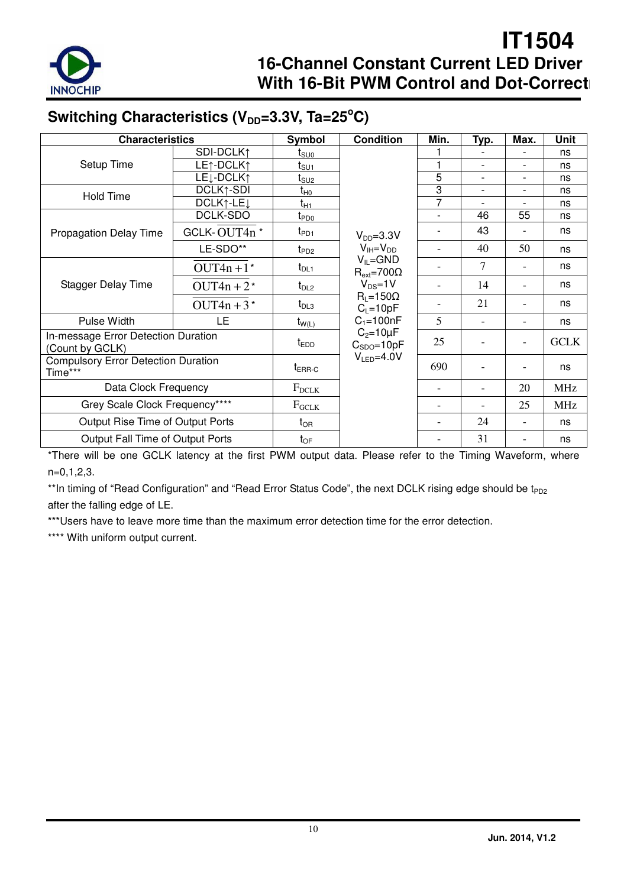

## Switching Characteristics (V<sub>DD</sub>=3.3V, Ta=25°C)

| <b>Characteristics</b>                                 |                                    | Symbol            | <b>Condition</b>                        | Min.                     | Typ.           | Max.                     | <b>Unit</b> |
|--------------------------------------------------------|------------------------------------|-------------------|-----------------------------------------|--------------------------|----------------|--------------------------|-------------|
|                                                        | SDI-DCLK1                          | t <sub>suo</sub>  |                                         |                          |                |                          | ns          |
| Setup Time                                             | LE1-DCLK1                          | t <sub>SU1</sub>  |                                         |                          |                |                          | ns          |
|                                                        | LE <sub>1</sub> -DCLK <sub>1</sub> | t <sub>SU2</sub>  |                                         | 5                        | $\overline{a}$ | $\overline{\phantom{a}}$ | ns          |
| <b>Hold Time</b>                                       | DCLK1-SDI                          | t <sub>H0</sub>   |                                         | 3                        |                |                          | ns          |
|                                                        | DCLK1-LE <sub>J</sub>              | t <sub>H1</sub>   |                                         | 7                        |                |                          | ns          |
|                                                        | DCLK-SDO                           | t <sub>PD0</sub>  |                                         | $\blacksquare$           | 46             | 55                       | ns          |
| <b>Propagation Delay Time</b>                          | GCLK-OUT4n*                        | $t_{PD1}$         | $V_{DD} = 3.3V$                         |                          | 43             |                          | ns          |
|                                                        | LE-SDO**                           | $t_{PD2}$         | $V_{IH} = V_{DD}$                       |                          | 40             | 50                       | ns          |
|                                                        | $OUT4n + 1*$                       | $t_{DL1}$         | $V_{IL} = GND$<br>$R_{ext} = 700\Omega$ |                          | 7              |                          | ns          |
| <b>Stagger Delay Time</b>                              | OUT4n + $2^*$                      | $t_{DL2}$         | $V_{DS} = 1V$                           | $\overline{\phantom{a}}$ | 14             | $\overline{\phantom{0}}$ | ns          |
|                                                        | OUT4n + $3*$                       | $t_{DL3}$         | $R_L = 150\Omega$<br>$C_L = 10pF$       |                          | 21             |                          | ns          |
| Pulse Width                                            | LE                                 | $t_{W(L)}$        | $C_1 = 100nF$                           | 5                        |                |                          | ns          |
| In-message Error Detection Duration<br>(Count by GCLK) |                                    | $t_{EDD}$         | $C_2 = 10 \mu F$<br>$C_{SDO} = 10pF$    | 25                       |                |                          | <b>GCLK</b> |
| <b>Compulsory Error Detection Duration</b><br>Time***  | $t_{\sf{ERR}\text{-}C}$            | $V_{LED} = 4.0 V$ | 690                                     |                          |                | ns                       |             |
| Data Clock Frequency                                   | $F_{DCLK}$                         |                   |                                         |                          | 20             | <b>MHz</b>               |             |
| Grey Scale Clock Frequency****                         | $F_{GCLK}$                         |                   |                                         |                          | 25             | <b>MHz</b>               |             |
| Output Rise Time of Output Ports                       |                                    | $t_{OR}$          |                                         |                          | 24             | $\overline{a}$           | ns          |
| Output Fall Time of Output Ports                       |                                    | $t_{OF}$          |                                         |                          | 31             |                          | ns          |

\*There will be one GCLK latency at the first PWM output data. Please refer to the Timing Waveform, where n=0,1,2,3.

\*\*In timing of "Read Configuration" and "Read Error Status Code", the next DCLK rising edge should be t<sub>PD2</sub> after the falling edge of LE.

\*\*\*Users have to leave more time than the maximum error detection time for the error detection.

\*\*\*\* With uniform output current.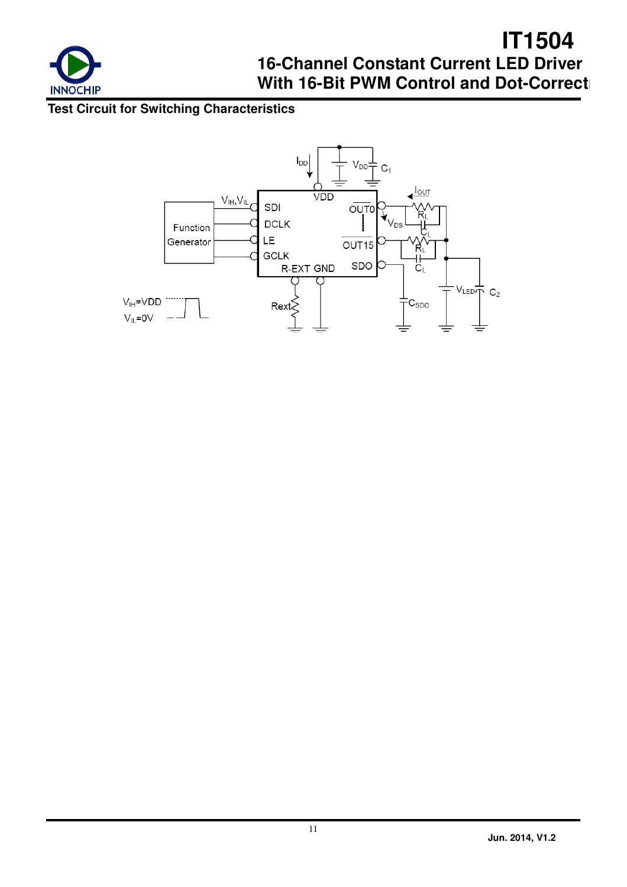

## **Test Circuit for Switching Characteristics**

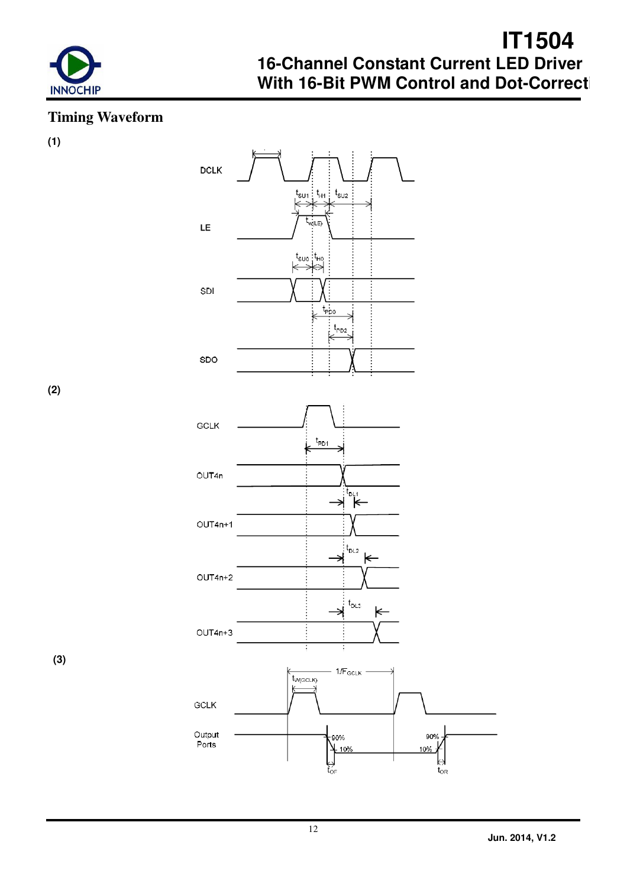

## **Timing Waveform**

**(1)** 



**(2)** 

 **(3)**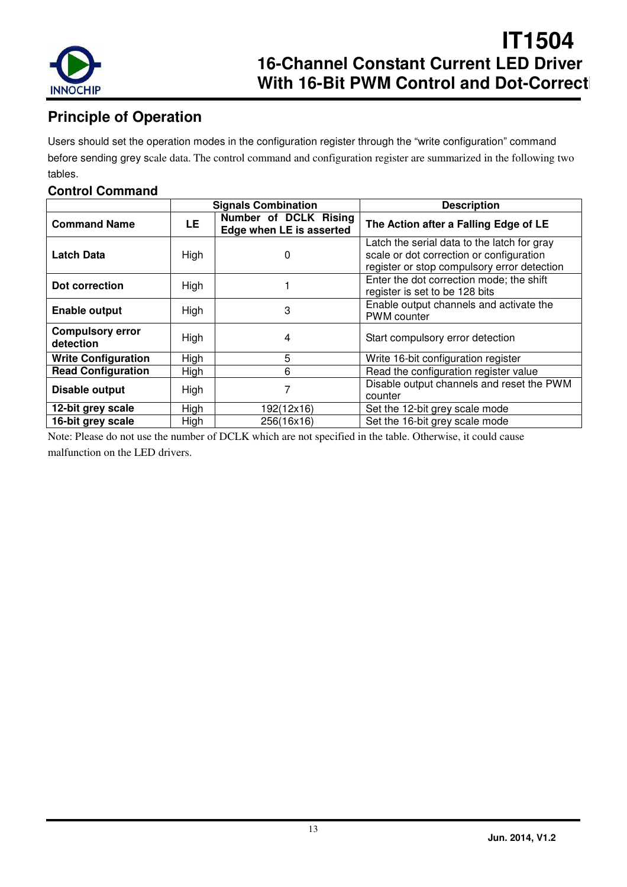

## **Principle of Operation**

Users should set the operation modes in the configuration register through the "write configuration" command before sending grey scale data. The control command and configuration register are summarized in the following two tables.

### **Control Command**

|                                      |           | <b>Signals Combination</b>                        | <b>Description</b>                                                                                                                     |
|--------------------------------------|-----------|---------------------------------------------------|----------------------------------------------------------------------------------------------------------------------------------------|
| <b>Command Name</b>                  | <b>LE</b> | Number of DCLK Rising<br>Edge when LE is asserted | The Action after a Falling Edge of LE                                                                                                  |
| <b>Latch Data</b>                    | High      | 0                                                 | Latch the serial data to the latch for gray<br>scale or dot correction or configuration<br>register or stop compulsory error detection |
| Dot correction                       | High      |                                                   | Enter the dot correction mode; the shift<br>register is set to be 128 bits                                                             |
| <b>Enable output</b>                 | High      | 3                                                 | Enable output channels and activate the<br><b>PWM</b> counter                                                                          |
| <b>Compulsory error</b><br>detection | High      | 4                                                 | Start compulsory error detection                                                                                                       |
| <b>Write Configuration</b>           | High      | 5                                                 | Write 16-bit configuration register                                                                                                    |
| <b>Read Configuration</b>            | High      | 6                                                 | Read the configuration register value                                                                                                  |
| Disable output                       | High      |                                                   | Disable output channels and reset the PWM<br>counter                                                                                   |
| 12-bit grey scale                    | High      | 192(12x16)                                        | Set the 12-bit grey scale mode                                                                                                         |
| 16-bit grey scale                    | High      | 256(16x16)                                        | Set the 16-bit grey scale mode                                                                                                         |

Note: Please do not use the number of DCLK which are not specified in the table. Otherwise, it could cause malfunction on the LED drivers.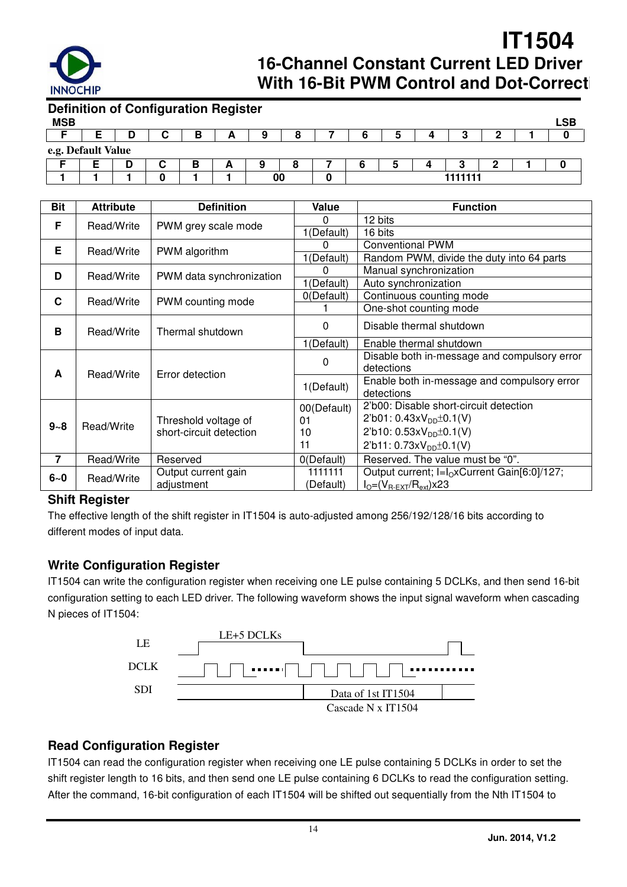

| <b>Definition of Configuration Register</b> |  |   |        |  |    |  |  |        |  |            |
|---------------------------------------------|--|---|--------|--|----|--|--|--------|--|------------|
| <b>MSB</b>                                  |  |   |        |  |    |  |  |        |  | <b>LSB</b> |
|                                             |  |   |        |  |    |  |  |        |  |            |
| e.g. Default Value                          |  |   |        |  |    |  |  |        |  |            |
|                                             |  | u | в<br>D |  |    |  |  |        |  |            |
|                                             |  |   |        |  | 00 |  |  | 111111 |  |            |

| Bit            | <b>Attribute</b> | <b>Definition</b>                               | Value       | <b>Function</b>                                              |
|----------------|------------------|-------------------------------------------------|-------------|--------------------------------------------------------------|
| F              | Read/Write       |                                                 | 0           | 12 bits                                                      |
|                |                  | PWM grey scale mode                             | 1(Default)  | 16 bits                                                      |
| Е              | Read/Write       | PWM algorithm                                   | 0           | <b>Conventional PWM</b>                                      |
|                |                  |                                                 | 1(Default)  | Random PWM, divide the duty into 64 parts                    |
| D              | Read/Write       | PWM data synchronization                        | 0           | Manual synchronization                                       |
|                |                  |                                                 | 1(Default)  | Auto synchronization                                         |
| C              | Read/Write       | PWM counting mode                               | 0(Default)  | Continuous counting mode                                     |
|                |                  |                                                 |             | One-shot counting mode                                       |
| B              | Read/Write       | Thermal shutdown                                | 0           | Disable thermal shutdown                                     |
|                |                  |                                                 | 1(Default)  | Enable thermal shutdown                                      |
|                |                  |                                                 | 0           | Disable both in-message and compulsory error                 |
| A              | Read/Write       | Error detection                                 |             | detections                                                   |
|                |                  |                                                 | 1(Default)  | Enable both in-message and compulsory error<br>detections    |
|                |                  |                                                 |             | 2'b00: Disable short-circuit detection                       |
|                |                  |                                                 | 00(Default) | $2'b01: 0.43xV_{DD} \pm 0.1(V)$                              |
| $9 - 8$        | Read/Write       | Threshold voltage of<br>short-circuit detection | 01          | 2'b10: $0.53xV_{DD}$ <sup>+</sup> 0.1(V)                     |
|                |                  |                                                 | 10<br>11    |                                                              |
|                |                  |                                                 |             | $2'b11: 0.73xV_{DD} \pm 0.1(V)$                              |
| $\overline{7}$ | Read/Write       | Reserved                                        | 0(Default)  | Reserved. The value must be "0".                             |
| $6 - 0$        | Read/Write       | Output current gain                             | 1111111     | Output current; I=I <sub>O</sub> xCurrent Gain[6:0]/127;     |
|                |                  | adjustment                                      | (Default)   | $I_{\text{O}} = (V_{\text{R-EXT}}/R_{\text{ext}}) \times 23$ |

#### **Shift Register**

The effective length of the shift register in IT1504 is auto-adjusted among 256/192/128/16 bits according to different modes of input data.

#### **Write Configuration Register**

IT1504 can write the configuration register when receiving one LE pulse containing 5 DCLKs, and then send 16-bit configuration setting to each LED driver. The following waveform shows the input signal waveform when cascading N pieces of IT1504:



### **Read Configuration Register**

IT1504 can read the configuration register when receiving one LE pulse containing 5 DCLKs in order to set the shift register length to 16 bits, and then send one LE pulse containing 6 DCLKs to read the configuration setting. After the command, 16-bit configuration of each IT1504 will be shifted out sequentially from the Nth IT1504 to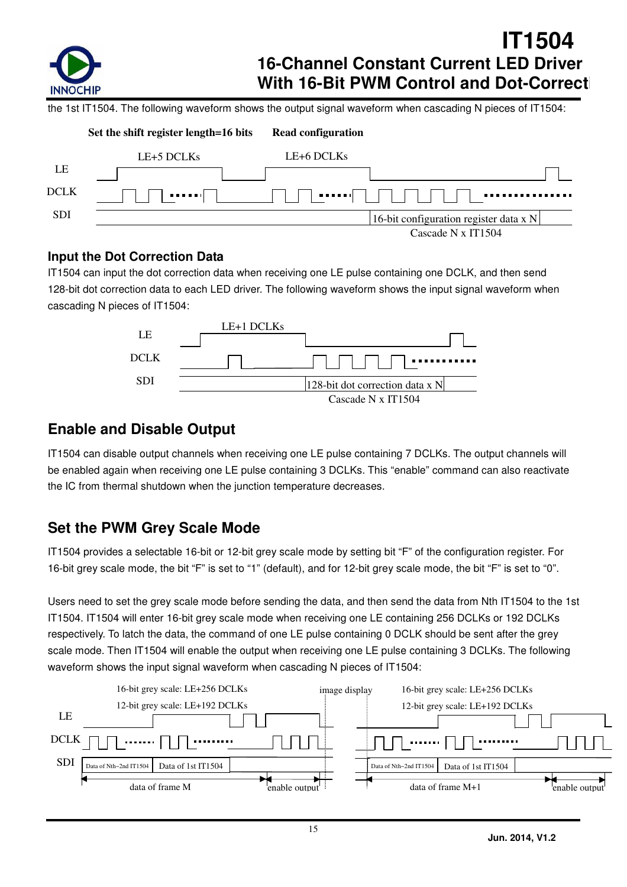

the 1st IT1504. The following waveform shows the output signal waveform when cascading N pieces of IT1504:

|             | Set the shift register length=16 bits | <b>Read configuration</b> |                                        |  |
|-------------|---------------------------------------|---------------------------|----------------------------------------|--|
|             | LE+5 DCLKs                            | LE+6 DCLKs                |                                        |  |
| LE          |                                       |                           |                                        |  |
| <b>DCLK</b> | . <u>.</u>                            | <b>PERSONAL</b>           |                                        |  |
| <b>SDI</b>  |                                       |                           | 16-bit configuration register data x N |  |
|             |                                       |                           | Cascade N x IT1504                     |  |

### **Input the Dot Correction Data**

IT1504 can input the dot correction data when receiving one LE pulse containing one DCLK, and then send 128-bit dot correction data to each LED driver. The following waveform shows the input signal waveform when cascading N pieces of IT1504:



### **Enable and Disable Output**

IT1504 can disable output channels when receiving one LE pulse containing 7 DCLKs. The output channels will be enabled again when receiving one LE pulse containing 3 DCLKs. This "enable" command can also reactivate the IC from thermal shutdown when the junction temperature decreases.

## **Set the PWM Grey Scale Mode**

IT1504 provides a selectable 16-bit or 12-bit grey scale mode by setting bit "F" of the configuration register. For 16-bit grey scale mode, the bit "F" is set to "1" (default), and for 12-bit grey scale mode, the bit "F" is set to "0".

Users need to set the grey scale mode before sending the data, and then send the data from Nth IT1504 to the 1st IT1504. IT1504 will enter 16-bit grey scale mode when receiving one LE containing 256 DCLKs or 192 DCLKs respectively. To latch the data, the command of one LE pulse containing 0 DCLK should be sent after the grey scale mode. Then IT1504 will enable the output when receiving one LE pulse containing 3 DCLKs. The following waveform shows the input signal waveform when cascading N pieces of IT1504:

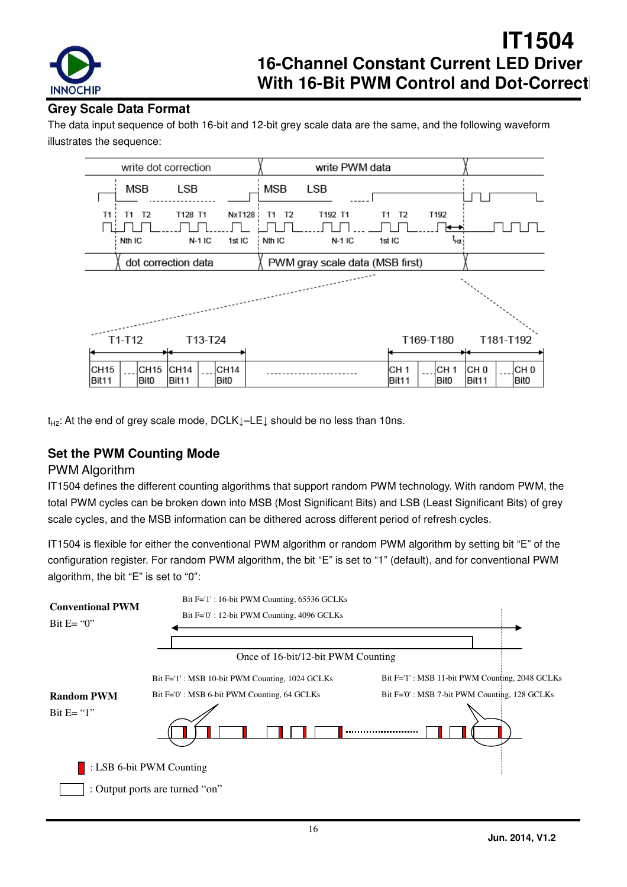

### **Grey Scale Data Format**

The data input sequence of both 16-bit and 12-bit grey scale data are the same, and the following waveform illustrates the sequence:



t<sub>H2</sub>: At the end of grey scale mode, DCLK↓–LE↓ should be no less than 10ns.

### **Set the PWM Counting Mode**

#### PWM Algorithm

IT1504 defines the different counting algorithms that support random PWM technology. With random PWM, the total PWM cycles can be broken down into MSB (Most Significant Bits) and LSB (Least Significant Bits) of grey scale cycles, and the MSB information can be dithered across different period of refresh cycles.

IT1504 is flexible for either the conventional PWM algorithm or random PWM algorithm by setting bit "E" of the configuration register. For random PWM algorithm, the bit "E" is set to "1" (default), and for conventional PWM algorithm, the bit "E" is set to "0":

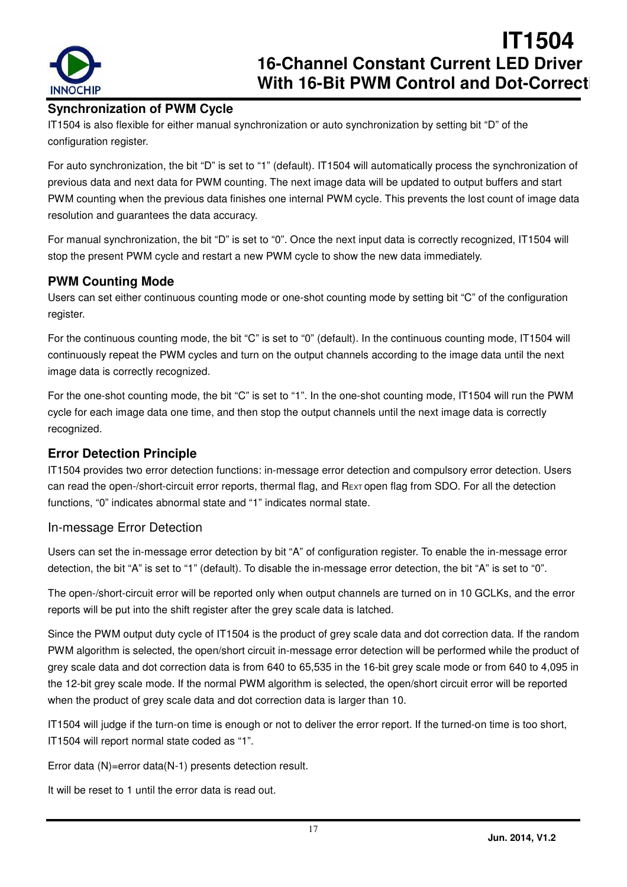

### **Synchronization of PWM Cycle**

IT1504 is also flexible for either manual synchronization or auto synchronization by setting bit "D" of the configuration register.

For auto synchronization, the bit "D" is set to "1" (default). IT1504 will automatically process the synchronization of previous data and next data for PWM counting. The next image data will be updated to output buffers and start PWM counting when the previous data finishes one internal PWM cycle. This prevents the lost count of image data resolution and guarantees the data accuracy.

For manual synchronization, the bit "D" is set to "0". Once the next input data is correctly recognized, IT1504 will stop the present PWM cycle and restart a new PWM cycle to show the new data immediately.

### **PWM Counting Mode**

Users can set either continuous counting mode or one-shot counting mode by setting bit "C" of the configuration register.

For the continuous counting mode, the bit "C" is set to "0" (default). In the continuous counting mode, IT1504 will continuously repeat the PWM cycles and turn on the output channels according to the image data until the next image data is correctly recognized.

For the one-shot counting mode, the bit "C" is set to "1". In the one-shot counting mode, IT1504 will run the PWM cycle for each image data one time, and then stop the output channels until the next image data is correctly recognized.

### **Error Detection Principle**

IT1504 provides two error detection functions: in-message error detection and compulsory error detection. Users can read the open-/short-circuit error reports, thermal flag, and REXT open flag from SDO. For all the detection functions, "0" indicates abnormal state and "1" indicates normal state.

#### In-message Error Detection

Users can set the in-message error detection by bit "A" of configuration register. To enable the in-message error detection, the bit "A" is set to "1" (default). To disable the in-message error detection, the bit "A" is set to "0".

The open-/short-circuit error will be reported only when output channels are turned on in 10 GCLKs, and the error reports will be put into the shift register after the grey scale data is latched.

Since the PWM output duty cycle of IT1504 is the product of grey scale data and dot correction data. If the random PWM algorithm is selected, the open/short circuit in-message error detection will be performed while the product of grey scale data and dot correction data is from 640 to 65,535 in the 16-bit grey scale mode or from 640 to 4,095 in the 12-bit grey scale mode. If the normal PWM algorithm is selected, the open/short circuit error will be reported when the product of grey scale data and dot correction data is larger than 10.

IT1504 will judge if the turn-on time is enough or not to deliver the error report. If the turned-on time is too short, IT1504 will report normal state coded as "1".

Error data (N)=error data(N-1) presents detection result.

It will be reset to 1 until the error data is read out.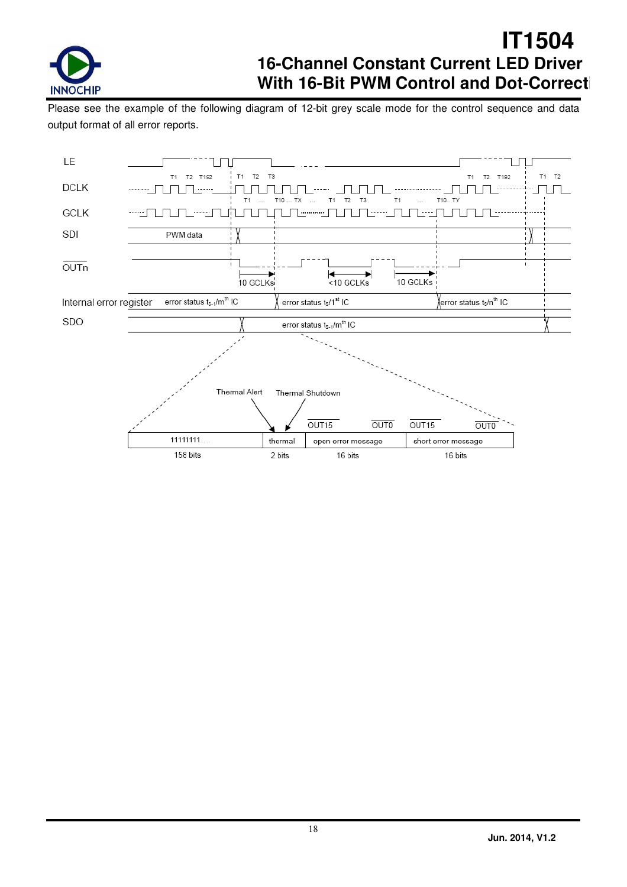

Please see the example of the following diagram of 12-bit grey scale mode for the control sequence and data output format of all error reports.

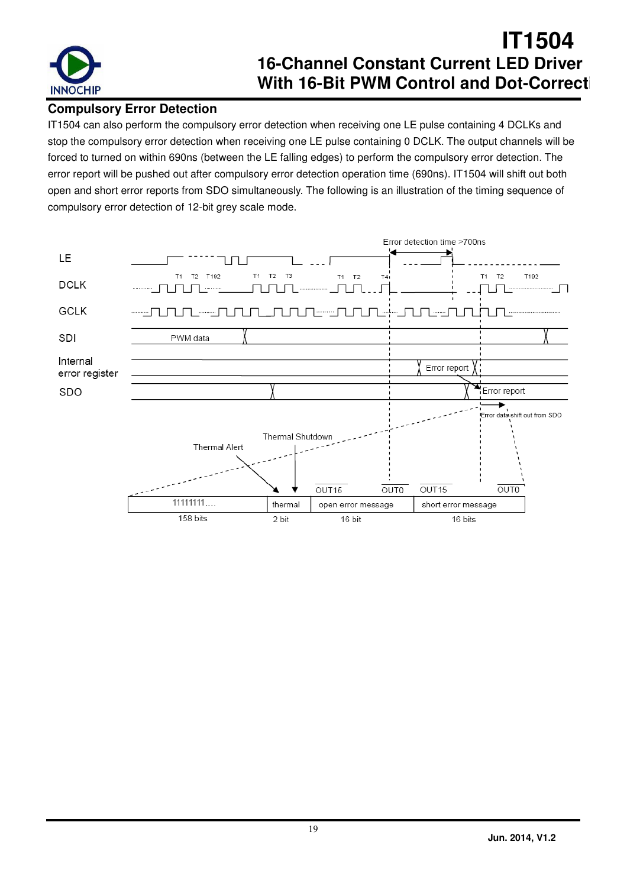

### **Compulsory Error Detection**

IT1504 can also perform the compulsory error detection when receiving one LE pulse containing 4 DCLKs and stop the compulsory error detection when receiving one LE pulse containing 0 DCLK. The output channels will be forced to turned on within 690ns (between the LE falling edges) to perform the compulsory error detection. The error report will be pushed out after compulsory error detection operation time (690ns). IT1504 will shift out both open and short error reports from SDO simultaneously. The following is an illustration of the timing sequence of compulsory error detection of 12-bit grey scale mode.

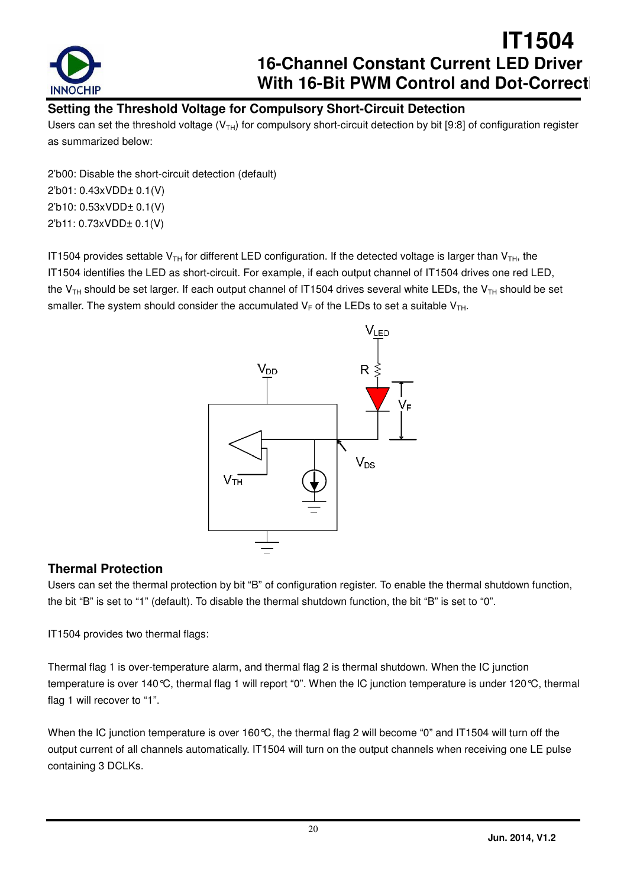

### **Setting the Threshold Voltage for Compulsory Short-Circuit Detection**

Users can set the threshold voltage ( $V<sub>TH</sub>$ ) for compulsory short-circuit detection by bit [9:8] of configuration register as summarized below:

2'b00: Disable the short-circuit detection (default) 2'b01: 0.43xVDD± 0.1(V) 2'b10: 0.53xVDD± 0.1(V) 2'b11: 0.73xVDD± 0.1(V)

IT1504 provides settable  $V_{TH}$  for different LED configuration. If the detected voltage is larger than  $V_{TH}$ , the IT1504 identifies the LED as short-circuit. For example, if each output channel of IT1504 drives one red LED, the V<sub>TH</sub> should be set larger. If each output channel of IT1504 drives several white LEDs, the V<sub>TH</sub> should be set smaller. The system should consider the accumulated  $V_F$  of the LEDs to set a suitable  $V_{TH}$ .



### **Thermal Protection**

Users can set the thermal protection by bit "B" of configuration register. To enable the thermal shutdown function, the bit "B" is set to "1" (default). To disable the thermal shutdown function, the bit "B" is set to "0".

IT1504 provides two thermal flags:

Thermal flag 1 is over-temperature alarm, and thermal flag 2 is thermal shutdown. When the IC junction temperature is over 140°C, thermal flag 1 will report "0". When the IC junction temperature is under 120°C, thermal flag 1 will recover to "1".

When the IC junction temperature is over 160 °C, the thermal flag 2 will become "0" and IT1504 will turn off the output current of all channels automatically. IT1504 will turn on the output channels when receiving one LE pulse containing 3 DCLKs.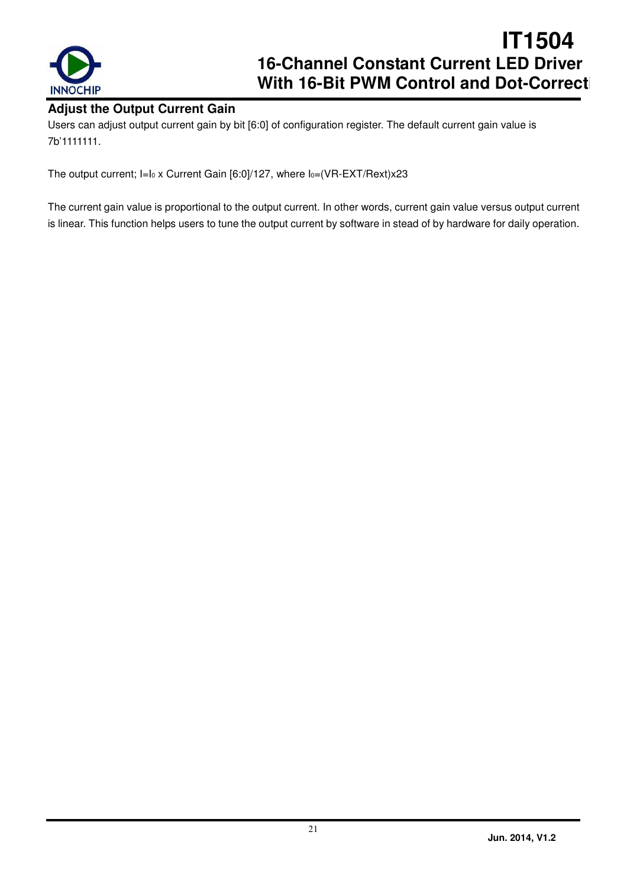

#### **Adjust the Output Current Gain**

Users can adjust output current gain by bit [6:0] of configuration register. The default current gain value is 7b'1111111.

The output current; I=I<sub>0</sub> x Current Gain [6:0]/127, where I<sub>0</sub>=(VR-EXT/Rext)x23

The current gain value is proportional to the output current. In other words, current gain value versus output current is linear. This function helps users to tune the output current by software in stead of by hardware for daily operation.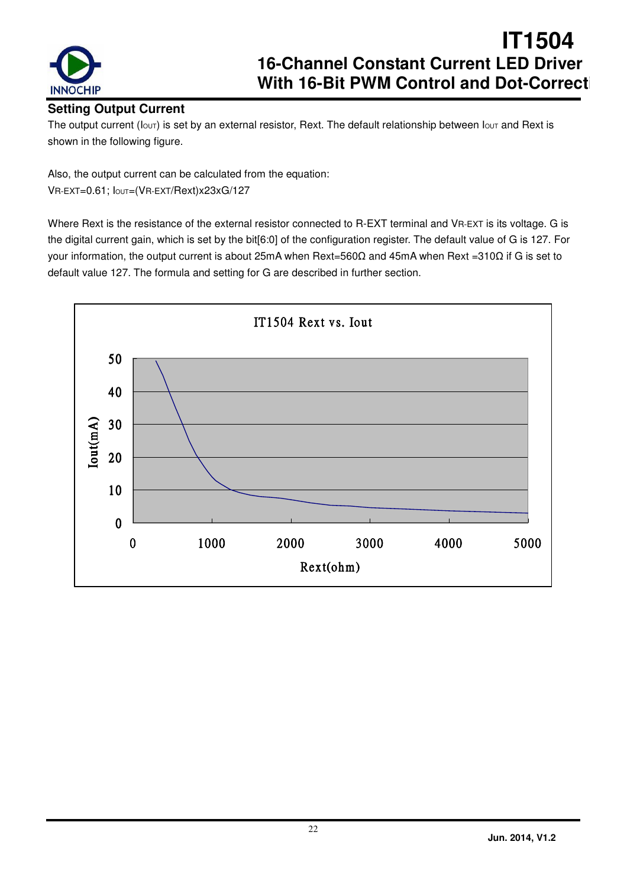

### **Setting Output Current**

The output current ( $I_{\text{OUT}}$ ) is set by an external resistor, Rext. The default relationship between  $I_{\text{OUT}}$  and Rext is shown in the following figure.

Also, the output current can be calculated from the equation:

VR-EXT=0.61; IOUT=(VR-EXT/Rext)x23xG/127

Where Rext is the resistance of the external resistor connected to R-EXT terminal and VR-EXT is its voltage. G is the digital current gain, which is set by the bit[6:0] of the configuration register. The default value of G is 127. For your information, the output current is about 25mA when Rext=560Ω and 45mA when Rext =310Ω if G is set to default value 127. The formula and setting for G are described in further section.

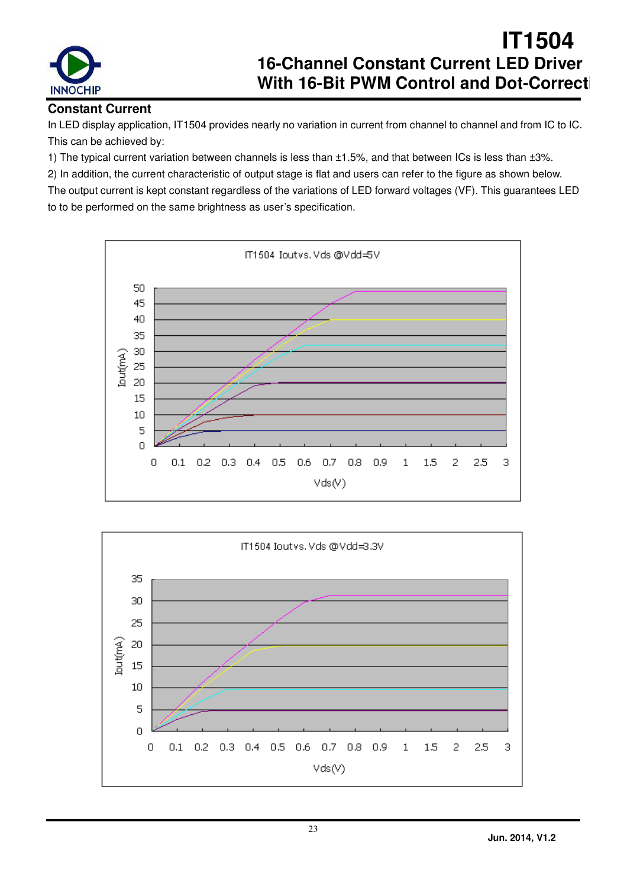

### **Constant Current**

In LED display application, IT1504 provides nearly no variation in current from channel to channel and from IC to IC. This can be achieved by:

1) The typical current variation between channels is less than ±1.5%, and that between ICs is less than ±3%.

2) In addition, the current characteristic of output stage is flat and users can refer to the figure as shown below. The output current is kept constant regardless of the variations of LED forward voltages (VF). This guarantees LED

to to be performed on the same brightness as user's specification.



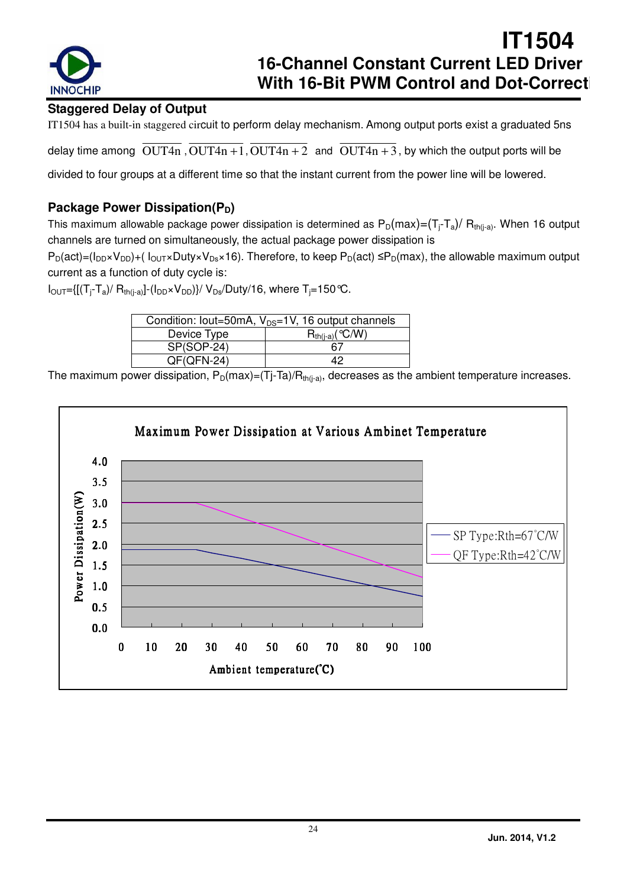

### **Staggered Delay of Output**

IT1504 has a built-in staggered circuit to perform delay mechanism. Among output ports exist a graduated 5ns

delay time among  $\overline{OUT4n}$ ,  $\overline{OUT4n+1}$ ,  $\overline{OUT4n+2}$  and  $\overline{OUT4n+3}$ , by which the output ports will be

divided to four groups at a different time so that the instant current from the power line will be lowered.

### **Package Power Dissipation(P<sub>D</sub>)**

This maximum allowable package power dissipation is determined as  $P_D(max) = (T_i - T_a)/ R_{th(i-a)}$ . When 16 output channels are turned on simultaneously, the actual package power dissipation is

 $P_D(act)=(I_{DD}\times V_{DD})+(I_{OUT}\times Duty\times V_{Ds}\times 16)$ . Therefore, to keep  $P_D(act)\leq P_D(max)$ , the allowable maximum output current as a function of duty cycle is:

 $I_{\text{OUT}}=[[(T_i-T_a)/R_{th(i-a)}]-(I_{\text{DD}}\times V_{\text{DD}})]/V_{\text{DS}}/Duty/16$ , where  $T_i=150$  °C.

| Condition: lout=50mA, $V_{DS}=1V$ , 16 output channels |                      |  |  |  |  |  |  |
|--------------------------------------------------------|----------------------|--|--|--|--|--|--|
| Device Type                                            | $R_{th(i-a)}$ (°C/W) |  |  |  |  |  |  |
| SP(SOP-24)                                             | 67                   |  |  |  |  |  |  |
| $QF(QFN-24)$                                           | 19                   |  |  |  |  |  |  |

The maximum power dissipation,  $P_D(max)=(Tj-Ta)/R_{th(j-a)}$ , decreases as the ambient temperature increases.

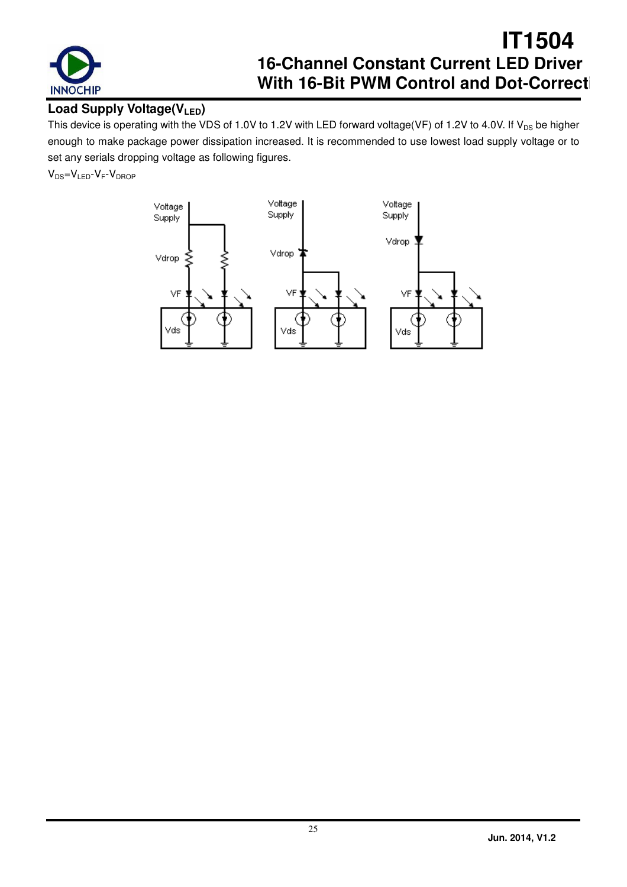

### **Load Supply Voltage(VLED)**

This device is operating with the VDS of 1.0V to 1.2V with LED forward voltage(VF) of 1.2V to 4.0V. If  $V_{DS}$  be higher enough to make package power dissipation increased. It is recommended to use lowest load supply voltage or to set any serials dropping voltage as following figures.

 $V_{DS}=V_{LED} - V_F - V_{DROP}$ 

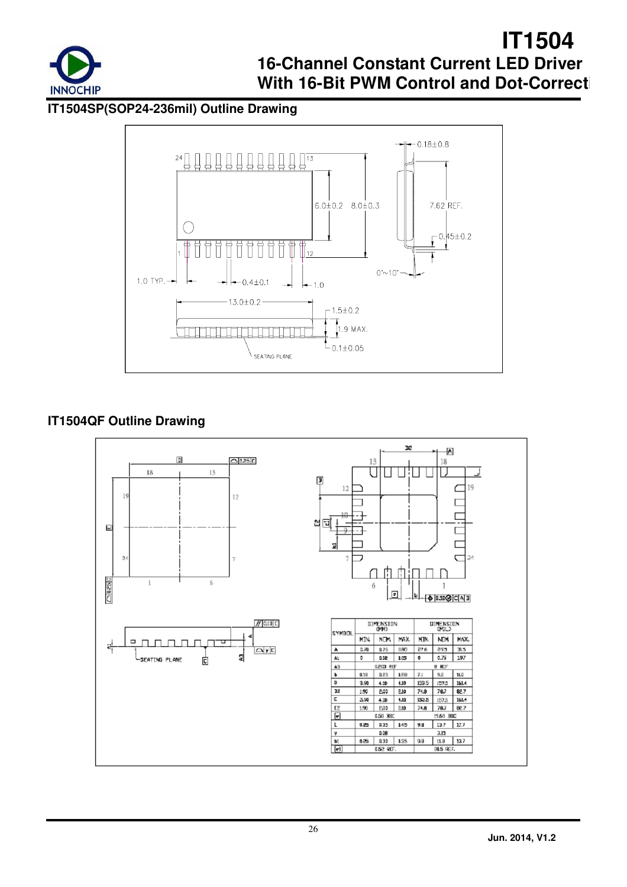

**IT1504SP(SOP24-236mil) Outline Drawing** 



### **IT1504QF Outline Drawing**